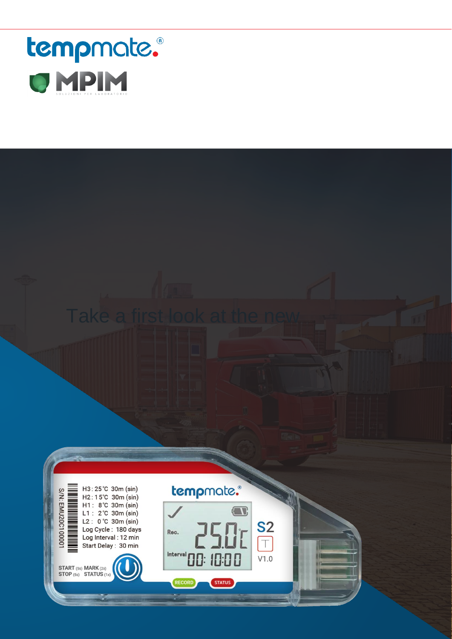